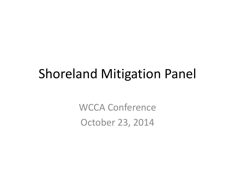#### Shoreland Mitigation Panel

WCCA Conference October 23, 2014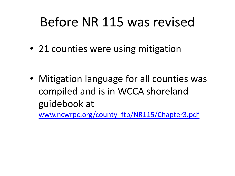### Before NR 115 was revised

• 21 counties were using mitigation

• Mitigation language for all counties was compiled and is in WCCA shoreland guidebook at

[www.ncwrpc.org/county\\_ftp/NR115/Chapter3.pdf](http://www.ncwrpc.org/county_ftp/NR115/Chapter3.pdf)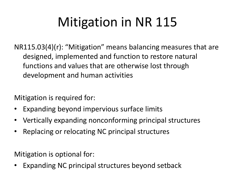# Mitigation in NR 115

NR115.03(4)(r): "Mitigation" means balancing measures that are designed, implemented and function to restore natural functions and values that are otherwise lost through development and human activities

Mitigation is required for:

- Expanding beyond impervious surface limits
- Vertically expanding nonconforming principal structures
- Replacing or relocating NC principal structures

Mitigation is optional for:

Expanding NC principal structures beyond setback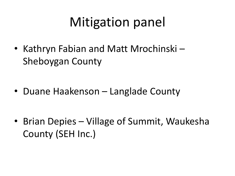### Mitigation panel

• Kathryn Fabian and Matt Mrochinski – Sheboygan County

• Duane Haakenson – Langlade County

• Brian Depies – Village of Summit, Waukesha County (SEH Inc.)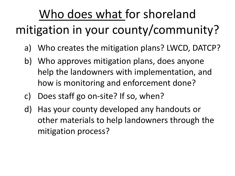# Who does what for shoreland

### mitigation in your county/community?

- a) Who creates the mitigation plans? LWCD, DATCP?
- b) Who approves mitigation plans, does anyone help the landowners with implementation, and how is monitoring and enforcement done?
- c) Does staff go on-site? If so, when?
- d) Has your county developed any handouts or other materials to help landowners through the mitigation process?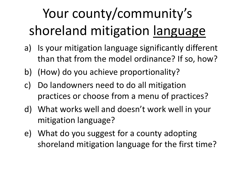# Your county/community's shoreland mitigation language

- a) Is your mitigation language significantly different than that from the model ordinance? If so, how?
- b) (How) do you achieve proportionality?
- c) Do landowners need to do all mitigation practices or choose from a menu of practices?
- d) What works well and doesn't work well in your mitigation language?
- e) What do you suggest for a county adopting shoreland mitigation language for the first time?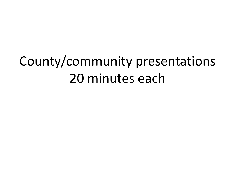## County/community presentations 20 minutes each